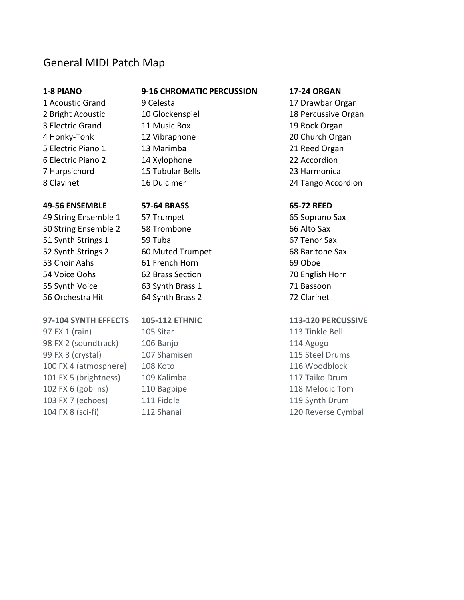# General MIDI Patch Map

# **1-8 PIANO 9-16 CHROMATIC PERCUSSION**

3 Electric Grand 11 Music Box 19 Rock Organ 5 Electric Piano 1 13 Marimba 21 Reed Organ 6 Electric Piano 2 14 Xylophone 22 Accordion 7 Harpsichord 15 Tubular Bells 23 Harmonica

## **49-56 ENSEMBLE 57-64 BRASS 65-72 REED**

49 String Ensemble 1 57 Trumpet 65 Soprano Sax 50 String Ensemble 2 58 Trombone 66 Alto Sax 51 Synth Strings 1 59 Tuba 67 Tenor Sax 52 Synth Strings 2 60 Muted Trumpet 68 Baritone Sax 53 Choir Aahs 61 French Horn 69 Oboe 54 Voice Oohs 62 Brass Section 70 English Horn 55 Synth Voice 63 Synth Brass 1 667 Synth 10 assoon 56 Orchestra Hit 64 Synth Brass 2 72 Clarinet

# **97-104 SYNTH EFFECTS 105-112 ETHNIC 113-120 PERCUSSIVE**

97 FX 1 (rain) 105 Sitar 113 Tinkle Bell 98 FX 2 (soundtrack) 106 Banjo 106 114 Agogo 99 FX 3 (crystal) 107 Shamisen 115 Steel Drums 100 FX 4 (atmosphere) 108 Koto 116 Woodblock 101 FX 5 (brightness) 109 Kalimba 117 Taiko Drum 102 FX 6 (goblins) 110 Bagpipe 118 Melodic Tom 103 FX 7 (echoes) 111 Fiddle 119 Synth Drum 104 FX 8 (sci-fi) 112 Shanai 120 Reverse Cymbal

### **17-24 ORGAN**

1 Acoustic Grand 9 Celesta 17 Drawbar Organ 2 Bright Acoustic and Glockenspiel 18 Percussive Organ 4 Honky-Tonk 12 Vibraphone 20 Church Organ 8 Clavinet **16 Dulcimer** 24 Tango Accordion